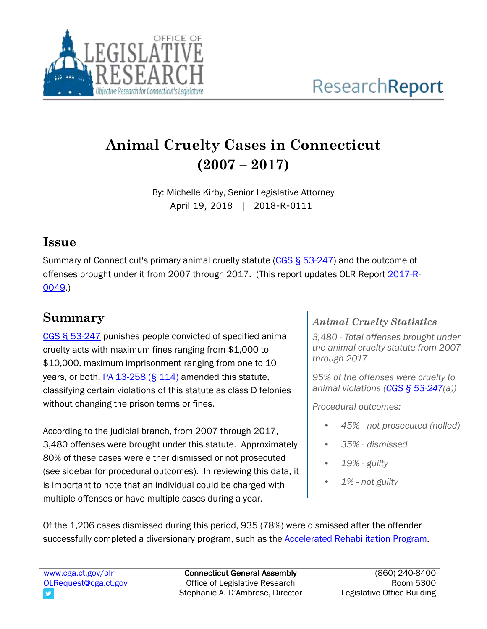

# **Animal Cruelty Cases in Connecticut (2007 – 2017)**

By: Michelle Kirby, Senior Legislative Attorney April 19, 2018 | 2018-R-0111

## **Issue**

Summary of Connecticut's primary animal cruelty statute [\(CGS § 53-247\)](https://www.cga.ct.gov/current/pub/chap_945.htm) and the outcome of offenses brought under it from 2007 through 2017. (This report updates OLR Report [2017-R-](https://www.cga.ct.gov/2017/rpt/pdf/2017-R-0049.pdf)[0049.](https://www.cga.ct.gov/2017/rpt/pdf/2017-R-0049.pdf))

## **Summary**

[CGS § 53-247](https://www.cga.ct.gov/current/pub/chap_945.htm) punishes people convicted of specified animal cruelty acts with maximum fines ranging from \$1,000 to \$10,000, maximum imprisonment ranging from one to 10 years, or both. [PA 13-258 \(§ 114\)](https://www.cga.ct.gov/2013/SUM/2013SUM00258-R01SB-00983-SUM.htm) amended this statute, classifying certain violations of this statute as class D felonies without changing the prison terms or fines.

According to the judicial branch, from 2007 through 2017, 3,480 offenses were brought under this statute. Approximately 80% of these cases were either dismissed or not prosecuted (see sidebar for procedural outcomes). In reviewing this data, it is important to note that an individual could be charged with multiple offenses or have multiple cases during a year.

#### *Animal Cruelty Statistics*

*3,480 - Total offenses brought under the animal cruelty statute from 2007 through 2017*

*95% of the offenses were cruelty to animal violations [\(CGS § 53-247\(](https://www.cga.ct.gov/current/pub/chap_945.htm)a))*

*Procedural outcomes:*

- *• 45% - not prosecuted (nolled)*
- *• 35% - dismissed*
- *• 19% - guilty*
- *• 1% - not guilty*

*(These numbers are based on charges with verdicts and include*  Of the 1,206 cases dismissed during this period, 935 (78%) were dismissed after the offender successfully completed a diversionary program, such as the <u>Accelerated Rehabilitation Program</u>.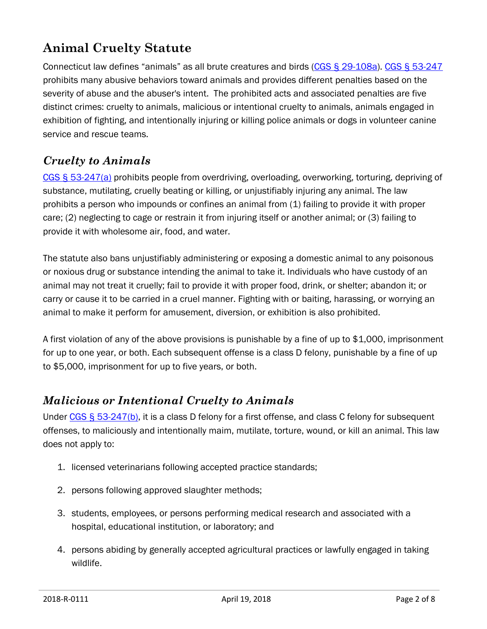## **Animal Cruelty Statute**

Connecticut law defines "animals" as all brute creatures and birds ([CGS § 29-108a\)](https://www.cga.ct.gov/current/pub/chap_530a.htm). [CGS § 53-247](https://www.cga.ct.gov/current/pub/chap_945.htm) prohibits many abusive behaviors toward animals and provides different penalties based on the severity of abuse and the abuser's intent. The prohibited acts and associated penalties are five distinct crimes: cruelty to animals, malicious or intentional cruelty to animals, animals engaged in exhibition of fighting, and intentionally injuring or killing police animals or dogs in volunteer canine service and rescue teams.

#### *Cruelty to Animals*

[CGS § 53-247\(a\)](https://www.cga.ct.gov/current/pub/chap_945.htm) prohibits people from overdriving, overloading, overworking, torturing, depriving of substance, mutilating, cruelly beating or killing, or unjustifiably injuring any animal. The law prohibits a person who impounds or confines an animal from (1) failing to provide it with proper care; (2) neglecting to cage or restrain it from injuring itself or another animal; or (3) failing to provide it with wholesome air, food, and water.

The statute also bans unjustifiably administering or exposing a domestic animal to any poisonous or noxious drug or substance intending the animal to take it. Individuals who have custody of an animal may not treat it cruelly; fail to provide it with proper food, drink, or shelter; abandon it; or carry or cause it to be carried in a cruel manner. Fighting with or baiting, harassing, or worrying an animal to make it perform for amusement, diversion, or exhibition is also prohibited.

A first violation of any of the above provisions is punishable by a fine of up to \$1,000, imprisonment for up to one year, or both. Each subsequent offense is a class D felony, punishable by a fine of up to \$5,000, imprisonment for up to five years, or both.

### *Malicious or Intentional Cruelty to Animals*

Under [CGS § 53-247\(b\),](https://www.cga.ct.gov/current/pub/chap_945.htm) it is a class D felony for a first offense, and class C felony for subsequent offenses, to maliciously and intentionally maim, mutilate, torture, wound, or kill an animal. This law does not apply to:

- 1. licensed veterinarians following accepted practice standards;
- 2. persons following approved slaughter methods;
- 3. students, employees, or persons performing medical research and associated with a hospital, educational institution, or laboratory; and
- 4. persons abiding by generally accepted agricultural practices or lawfully engaged in taking wildlife.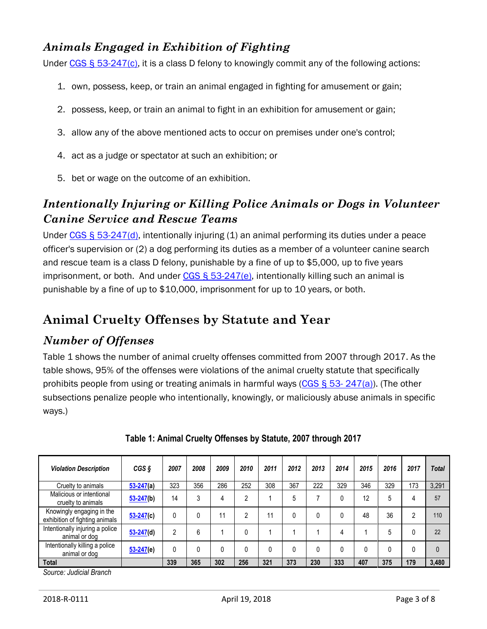#### *Animals Engaged in Exhibition of Fighting*

Under [CGS § 53-247\(c\),](https://www.cga.ct.gov/current/pub/chap_945.htm) it is a class D felony to knowingly commit any of the following actions:

- 1. own, possess, keep, or train an animal engaged in fighting for amusement or gain;
- 2. possess, keep, or train an animal to fight in an exhibition for amusement or gain;
- 3. allow any of the above mentioned acts to occur on premises under one's control;
- 4. act as a judge or spectator at such an exhibition; or
- 5. bet or wage on the outcome of an exhibition.

#### *Intentionally Injuring or Killing Police Animals or Dogs in Volunteer Canine Service and Rescue Teams*

Under [CGS § 53-247\(d\),](https://www.cga.ct.gov/current/pub/chap_945.htm) intentionally injuring (1) an animal performing its duties under a peace officer's supervision or (2) a dog performing its duties as a member of a volunteer canine search and rescue team is a class D felony, punishable by a fine of up to \$5,000, up to five years imprisonment, or both. And under  $CGS \leq 53-247(e)$ , intentionally killing such an animal is punishable by a fine of up to \$10,000, imprisonment for up to 10 years, or both.

## **Animal Cruelty Offenses by Statute and Year**

#### *Number of Offenses*

Table 1 shows the number of animal cruelty offenses committed from 2007 through 2017. As the table shows, 95% of the offenses were violations of the animal cruelty statute that specifically prohibits people from using or treating animals in harmful ways [\(CGS § 53-](https://www.cga.ct.gov/current/pub/chap_945.htm) 247(a)). (The other subsections penalize people who intentionally, knowingly, or maliciously abuse animals in specific ways.)

| <b>Violation Description</b>                                | CGS <sub>S</sub> | 2007 | 2008 | 2009 | 2010 | 2011 | 2012 | 2013 | 2014 | 2015 | 2016 | 2017 | <b>Total</b> |
|-------------------------------------------------------------|------------------|------|------|------|------|------|------|------|------|------|------|------|--------------|
| Cruelty to animals                                          | $53 - 247$ (a)   | 323  | 356  | 286  | 252  | 308  | 367  | 222  | 329  | 346  | 329  | 173  | 3,291        |
| Malicious or intentional<br>cruelty to animals              | $53 - 247(b)$    | 14   | 3    | 4    | າ    |      | 5    |      |      | 12   | 5    | 4    | 57           |
| Knowingly engaging in the<br>exhibition of fighting animals | $53 - 247(c)$    | 0    |      | 11   | 2    | 1    |      |      |      | 48   | 36   | 2    | 110          |
| Intentionally injuring a police<br>animal or dog            | $53 - 247(d)$    | 2    | 6    |      |      |      |      |      |      |      | 5    |      | 22           |
| Intentionally killing a police<br>animal or dog             | $53 - 247(e)$    | 0    |      |      |      |      |      |      |      |      |      |      | $\mathbf{0}$ |
| <b>Total</b><br>.                                           |                  | 339  | 365  | 302  | 256  | 321  | 373  | 230  | 333  | 407  | 375  | 179  | 3,480        |

#### **Table 1: Animal Cruelty Offenses by Statute, 2007 through 2017**

*Source: Judicial Branch*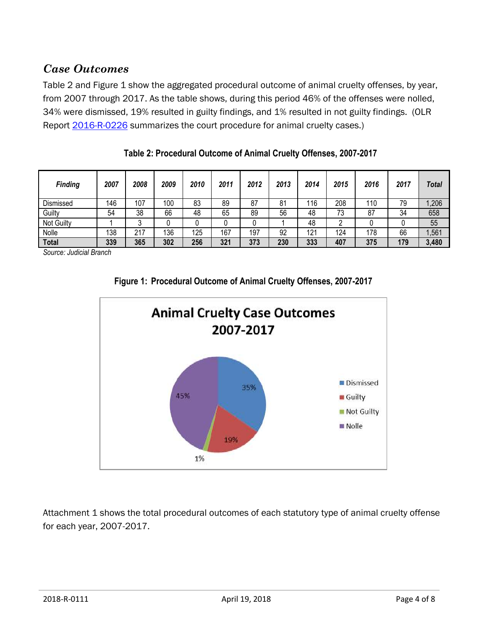#### *Case Outcomes*

Table 2 and Figure 1 show the aggregated procedural outcome of animal cruelty offenses, by year, from 2007 through 2017. As the table shows, during this period 46% of the offenses were nolled, 34% were dismissed, 19% resulted in guilty findings, and 1% resulted in not guilty findings. (OLR Report [2016-R-0226](https://www.cga.ct.gov/2016/rpt/pdf/2016-R-0226.pdf) summarizes the court procedure for animal cruelty cases.)

| <b>Finding</b>    | 2007 | 2008 | 2009 | 2010 | 2011 | 2012 | 2013 | 2014 | 2015 | 2016 | 2017 | Total |
|-------------------|------|------|------|------|------|------|------|------|------|------|------|-------|
| Dismissed         | 146  | 107  | 100  | 83   | 89   | 87   | 81   | 116  | 208  | 110  | 79   | ,206  |
| Guilty            | 54   | 38   | 66   | 48   | 65   | 89   | 56   | 48   | 73   | 87   | 34   | 658   |
| <b>Not Guilty</b> |      |      |      |      |      |      |      | 48   |      |      |      | 55    |
| Nolle             | 138  | 217  | 136  | 125  | 167  | 197  | 92   | 121  | 124  | 178  | 66   | ,561  |
| <b>Total</b>      | 339  | 365  | 302  | 256  | 321  | 373  | 230  | 333  | 407  | 375  | 179  | 3,480 |

**Table 2: Procedural Outcome of Animal Cruelty Offenses, 2007-2017**

*Source: Judicial Branch*





Attachment 1 shows the total procedural outcomes of each statutory type of animal cruelty offense for each year, 2007-2017.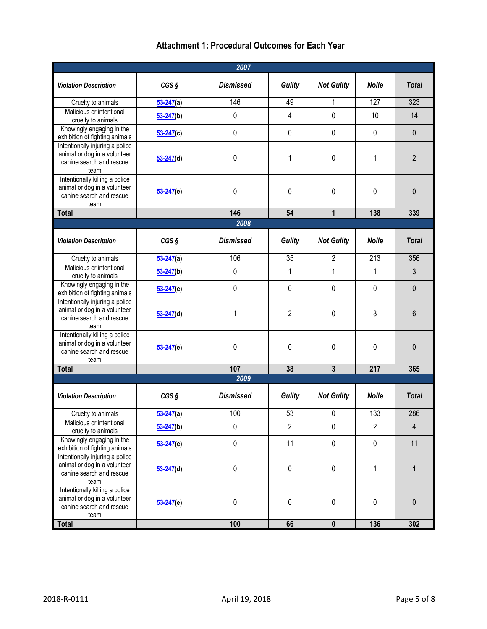#### **Attachment 1: Procedural Outcomes for Each Year**

|                                                                                                     |                    | 2007             |                |                   |                  |                |
|-----------------------------------------------------------------------------------------------------|--------------------|------------------|----------------|-------------------|------------------|----------------|
| <b>Violation Description</b>                                                                        | $CGS$ $S$          | <b>Dismissed</b> | <b>Guilty</b>  | <b>Not Guilty</b> | <b>Nolle</b>     | <b>Total</b>   |
| Cruelty to animals                                                                                  | $53 - 247(a)$      | 146              | 49             | 1                 | 127              | 323            |
| Malicious or intentional<br>cruelty to animals                                                      | $53 - 247(b)$      | $\mathbf 0$      | $\overline{4}$ | $\pmb{0}$         | 10               | 14             |
| Knowingly engaging in the<br>exhibition of fighting animals                                         | $53 - 247(c)$      | $\pmb{0}$        | $\mathbf 0$    | 0                 | $\pmb{0}$        | $\mathbf 0$    |
| Intentionally injuring a police<br>animal or dog in a volunteer<br>canine search and rescue<br>team | $53 - 247$ (d)     | $\mathbf 0$      | 1              | 0                 | 1                | $\overline{2}$ |
| Intentionally killing a police<br>animal or dog in a volunteer<br>canine search and rescue<br>team  | $53 - 247(e)$      | $\pmb{0}$        | $\pmb{0}$      | 0                 | 0                | 0              |
| <b>Total</b>                                                                                        |                    | 146              | 54             | 1                 | 138              | 339            |
|                                                                                                     |                    | 2008             |                |                   |                  |                |
| <b>Violation Description</b>                                                                        | $CGS$ $S$          | <b>Dismissed</b> | <b>Guilty</b>  | <b>Not Guilty</b> | <b>Nolle</b>     | <b>Total</b>   |
| Cruelty to animals                                                                                  | $53 - 247(a)$      | 106              | 35             | $\overline{2}$    | $\overline{213}$ | 356            |
| Malicious or intentional<br>cruelty to animals                                                      | $53 - 247(b)$      | $\mathbf 0$      | 1              | 1                 | $\mathbf{1}$     | 3              |
| Knowingly engaging in the<br>exhibition of fighting animals                                         | $53 - 247(c)$      | $\mathbf 0$      | $\mathbf 0$    | 0                 | $\pmb{0}$        | $\mathbf 0$    |
| Intentionally injuring a police<br>animal or dog in a volunteer<br>canine search and rescue<br>team | $53 - 247$ (d)     | 1                | $\overline{c}$ | 0                 | $\mathfrak{Z}$   | 6              |
| Intentionally killing a police<br>animal or dog in a volunteer<br>canine search and rescue<br>team  | $53 - 247(e)$      | 0                | $\mathbf 0$    | 0                 | 0                | $\mathbf{0}$   |
| <b>Total</b>                                                                                        |                    | 107              | 38             | $\mathbf{3}$      | 217              | 365            |
|                                                                                                     |                    | 2009             |                |                   |                  |                |
| <b>Violation Description</b>                                                                        | CGS <sub>S</sub>   | <b>Dismissed</b> | <b>Guilty</b>  | <b>Not Guilty</b> | <b>Nolle</b>     | <b>Total</b>   |
| Cruelty to animals                                                                                  | $\frac{53-247}{2}$ | 100              | 53             | 0                 | 133              | 286            |
| Malicious or intentional<br>cruelty to animals                                                      | $53 - 247(b)$      | 0                | $\overline{2}$ | 0                 | $\overline{2}$   | $\overline{4}$ |
| Knowingly engaging in the<br>exhibition of fighting animals                                         | $53 - 247(c)$      | $\pmb{0}$        | 11             | $\pmb{0}$         | $\pmb{0}$        | 11             |
| Intentionally injuring a police<br>animal or dog in a volunteer<br>canine search and rescue<br>team | $53 - 247$ (d)     | $\mathbf 0$      | $\pmb{0}$      | $\pmb{0}$         | $\mathbf{1}$     | 1              |
| Intentionally killing a police<br>animal or dog in a volunteer<br>canine search and rescue<br>team  | $53 - 247(e)$      | $\pmb{0}$        | 0              | 0                 | $\pmb{0}$        | $\pmb{0}$      |
| <b>Total</b>                                                                                        |                    | 100              | 66             | $\mathbf 0$       | 136              | 302            |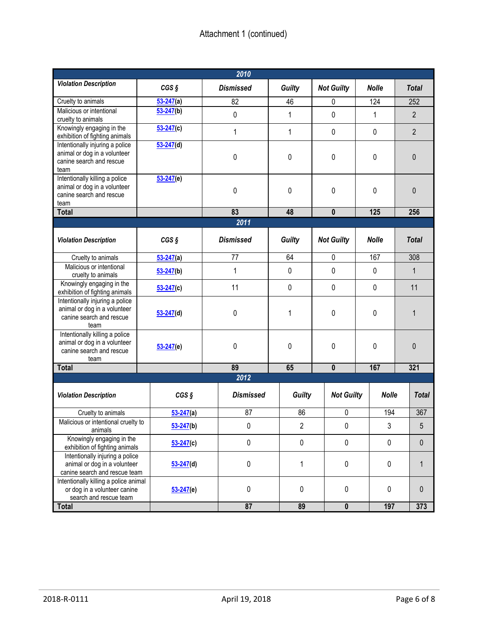|                                                                                                     |                  | 2010             |                |                   |              |                |
|-----------------------------------------------------------------------------------------------------|------------------|------------------|----------------|-------------------|--------------|----------------|
| <b>Violation Description</b>                                                                        | $CGS$ $S$        | <b>Dismissed</b> | Guilty         | <b>Not Guilty</b> | <b>Nolle</b> | <b>Total</b>   |
| Cruelty to animals                                                                                  | $53 - 247(a)$    | 82               | 46             | 0                 | 124          | 252            |
| Malicious or intentional<br>cruelty to animals                                                      | $53 - 247(b)$    | 0                | 1              | $\mathbf 0$       | 1            | $\overline{2}$ |
| Knowingly engaging in the<br>exhibition of fighting animals                                         | $53 - 247(c)$    | 1                | 1              | $\pmb{0}$         | 0            | $\overline{2}$ |
| Intentionally injuring a police<br>animal or dog in a volunteer<br>canine search and rescue<br>team | $53 - 247(d)$    | $\mathbf 0$      | 0              | 0                 | 0            | $\mathbf{0}$   |
| Intentionally killing a police<br>animal or dog in a volunteer<br>canine search and rescue<br>team  | $53 - 247(e)$    | 0                | 0              | 0                 | 0            | $\mathbf{0}$   |
| <b>Total</b>                                                                                        |                  | 83               | 48             | $\mathbf{0}$      | 125          | 256            |
|                                                                                                     |                  | 2011             |                |                   |              |                |
| <b>Violation Description</b>                                                                        | $CGS$ $S$        | <b>Dismissed</b> | <b>Guilty</b>  | <b>Not Guilty</b> | <b>Nolle</b> | <b>Total</b>   |
| Cruelty to animals                                                                                  | $53 - 247(a)$    | 77               | 64             | $\pmb{0}$         | 167          | 308            |
| Malicious or intentional<br>cruelty to animals                                                      | $53 - 247(b)$    | 1                | 0              | $\pmb{0}$         | 0            | 1              |
| Knowingly engaging in the<br>exhibition of fighting animals                                         | $53 - 247(c)$    | 11               | 0              | $\pmb{0}$         |              | 11             |
| Intentionally injuring a police<br>animal or dog in a volunteer<br>canine search and rescue<br>team | $53 - 247$ (d)   | $\pmb{0}$        | 1              | $\pmb{0}$         | 0            | 1              |
| Intentionally killing a police<br>animal or dog in a volunteer<br>canine search and rescue<br>team  | $53 - 247(e)$    | $\pmb{0}$        | 0              | $\pmb{0}$         | 0            | $\mathbf{0}$   |
| <b>Total</b>                                                                                        |                  | 89               | 65             | $\mathbf 0$       | 167          | 321            |
|                                                                                                     |                  | 2012             |                |                   |              |                |
| <b>Violation Description</b>                                                                        | CGS <sub>S</sub> | <b>Dismissed</b> | Guilty         | <b>Not Guilty</b> | <b>Nolle</b> | <b>Total</b>   |
| Cruelty to animals                                                                                  | $53 - 247(a)$    | 87               | 86             | 0                 | 194          | 367            |
| Malicious or intentional cruelty to<br>animals                                                      | $53 - 247(b)$    | 0                | $\overline{2}$ | $\pmb{0}$         | 3            | $\sqrt{5}$     |
| Knowingly engaging in the<br>exhibition of fighting animals                                         | $53 - 247(c)$    | 0                | $\pmb{0}$      | $\pmb{0}$         | $\pmb{0}$    | $\pmb{0}$      |
| Intentionally injuring a police<br>animal or dog in a volunteer<br>canine search and rescue team    | $53 - 247$ (d)   | $\pmb{0}$        | $\mathbf{1}$   | $\pmb{0}$         | $\pmb{0}$    | $\mathbf{1}$   |
| Intentionally killing a police animal<br>or dog in a volunteer canine<br>search and rescue team     | $53 - 247(e)$    | 0                | $\pmb{0}$      | $\pmb{0}$         | $\pmb{0}$    | $\mathbf 0$    |
| <b>Total</b>                                                                                        |                  | 87               | 89             | $\mathbf 0$       | 197          | 373            |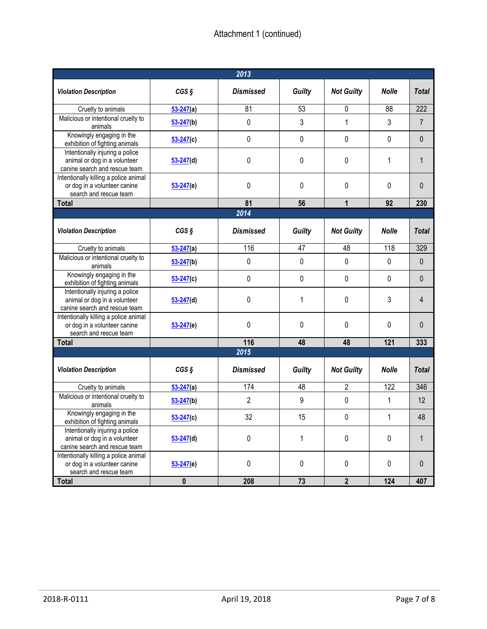| 2013                                                                                             |                |                  |               |                   |              |                |  |  |  |
|--------------------------------------------------------------------------------------------------|----------------|------------------|---------------|-------------------|--------------|----------------|--|--|--|
| <b>Violation Description</b>                                                                     | CGS            | <b>Dismissed</b> | Guilty        | <b>Not Guilty</b> | <b>Nolle</b> | <b>Total</b>   |  |  |  |
| Cruelty to animals                                                                               | $53 - 247(a)$  | 81               | 53            | 0                 | 88           | 222            |  |  |  |
| Malicious or intentional cruelty to<br>animals                                                   | $53 - 247(b)$  | 0                | 3             | $\mathbf{1}$      | 3            | $\overline{7}$ |  |  |  |
| Knowingly engaging in the<br>exhibition of fighting animals                                      | $53 - 247(c)$  | 0                | 0             | 0                 | 0            | 0              |  |  |  |
| Intentionally injuring a police<br>animal or dog in a volunteer<br>canine search and rescue team | $53 - 247$ (d) | 0                | 0             | 0                 | 1            | 1              |  |  |  |
| Intentionally killing a police animal<br>or dog in a volunteer canine<br>search and rescue team  | $53 - 247(e)$  | 0                | $\Omega$      | 0                 | $\Omega$     | 0              |  |  |  |
| <b>Total</b>                                                                                     |                | 81               | 56            | 1                 | 92           | 230            |  |  |  |
|                                                                                                  |                | 2014             |               |                   |              |                |  |  |  |
| <b>Violation Description</b>                                                                     | CGS            | <b>Dismissed</b> | <b>Guilty</b> | <b>Not Guilty</b> | <b>Nolle</b> | <b>Total</b>   |  |  |  |
| Cruelty to animals                                                                               | $53 - 247(a)$  | 116              | 47            | 48                | 118          | 329            |  |  |  |
| Malicious or intentional cruelty to<br>animals                                                   | $53 - 247(b)$  | 0                | 0             | 0                 | 0            | 0              |  |  |  |
| Knowingly engaging in the<br>exhibition of fighting animals                                      | $53 - 247(c)$  | 0                | 0             | 0                 | 0            | 0              |  |  |  |
| Intentionally injuring a police<br>animal or dog in a volunteer<br>canine search and rescue team | $53 - 247(d)$  | 0                | 1             | 0                 | 3            | 4              |  |  |  |
| Intentionally killing a police animal<br>or dog in a volunteer canine<br>search and rescue team  | $53 - 247(e)$  | 0                | 0             | 0                 | 0            | 0              |  |  |  |
| <b>Total</b>                                                                                     |                | 116              | 48            | 48                | 121          | 333            |  |  |  |
|                                                                                                  |                | 2015             |               |                   |              |                |  |  |  |
| <b>Violation Description</b>                                                                     | $CGS$ $S$      | <b>Dismissed</b> | <b>Guilty</b> | <b>Not Guilty</b> | <b>Nolle</b> | <b>Total</b>   |  |  |  |
| Cruelty to animals                                                                               | $53 - 247(a)$  | 174              | 48            | $\overline{2}$    | 122          | 346            |  |  |  |
| Malicious or intentional cruelty to<br>animals                                                   | $53 - 247(b)$  | $\overline{2}$   | 9             | 0                 | 1            | 12             |  |  |  |
| Knowingly engaging in the<br>exhibition of fighting animals                                      | $53 - 247(c)$  | 32               | 15            | 0                 | 1            | 48             |  |  |  |
| Intentionally injuring a police<br>animal or dog in a volunteer<br>canine search and rescue team | $53 - 247(d)$  | 0                | 1             | $\pmb{0}$         | 0            | 1              |  |  |  |
| Intentionally killing a police animal<br>or dog in a volunteer canine<br>search and rescue team  | $53 - 247(e)$  | $\pmb{0}$        | $\pmb{0}$     | $\pmb{0}$         | 0            | 0              |  |  |  |
| <b>Total</b>                                                                                     | $\pmb{0}$      | 208              | 73            | $\overline{2}$    | 124          | 407            |  |  |  |